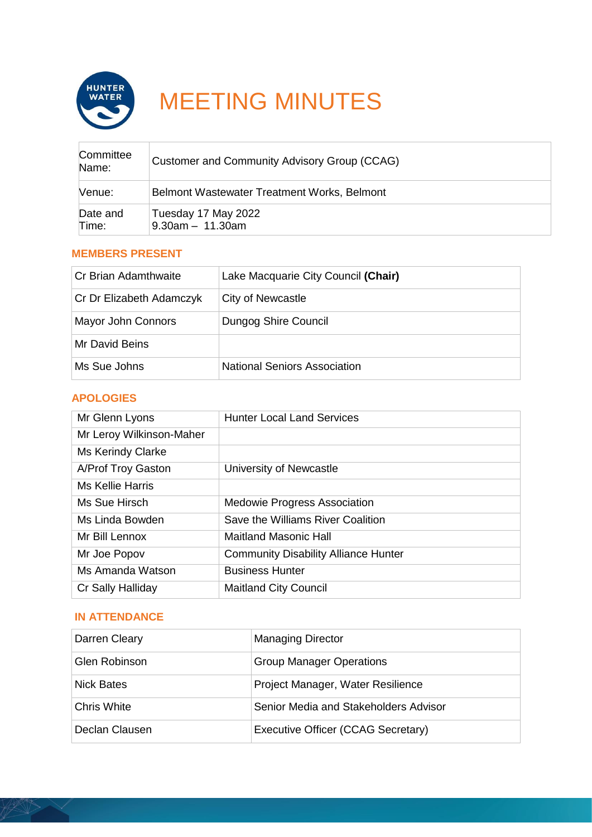

# MEETING MINUTES

| Committee<br>Name: | Customer and Community Advisory Group (CCAG) |
|--------------------|----------------------------------------------|
| Venue:             | Belmont Wastewater Treatment Works, Belmont  |
| Date and<br>Time:  | Tuesday 17 May 2022<br>$9.30am - 11.30am$    |

## **MEMBERS PRESENT**

| ∣Cr Brian Adamthwaite    | Lake Macquarie City Council (Chair) |
|--------------------------|-------------------------------------|
| Cr Dr Elizabeth Adamczyk | City of Newcastle                   |
| Mayor John Connors       | Dungog Shire Council                |
| Mr David Beins           |                                     |
| Ms Sue Johns             | <b>National Seniors Association</b> |

# **APOLOGIES**

| Mr Glenn Lyons           | <b>Hunter Local Land Services</b>           |
|--------------------------|---------------------------------------------|
| Mr Leroy Wilkinson-Maher |                                             |
| Ms Kerindy Clarke        |                                             |
| A/Prof Troy Gaston       | University of Newcastle                     |
| Ms Kellie Harris         |                                             |
| Ms Sue Hirsch            | <b>Medowie Progress Association</b>         |
| Ms Linda Bowden          | Save the Williams River Coalition           |
| Mr Bill Lennox           | <b>Maitland Masonic Hall</b>                |
| Mr Joe Popov             | <b>Community Disability Alliance Hunter</b> |
| Ms Amanda Watson         | <b>Business Hunter</b>                      |
| Cr Sally Halliday        | <b>Maitland City Council</b>                |

## **IN ATTENDANCE**

| Darren Cleary      | <b>Managing Director</b>              |
|--------------------|---------------------------------------|
| Glen Robinson      | <b>Group Manager Operations</b>       |
| Nick Bates         | Project Manager, Water Resilience     |
| <b>Chris White</b> | Senior Media and Stakeholders Advisor |
| Declan Clausen     | Executive Officer (CCAG Secretary)    |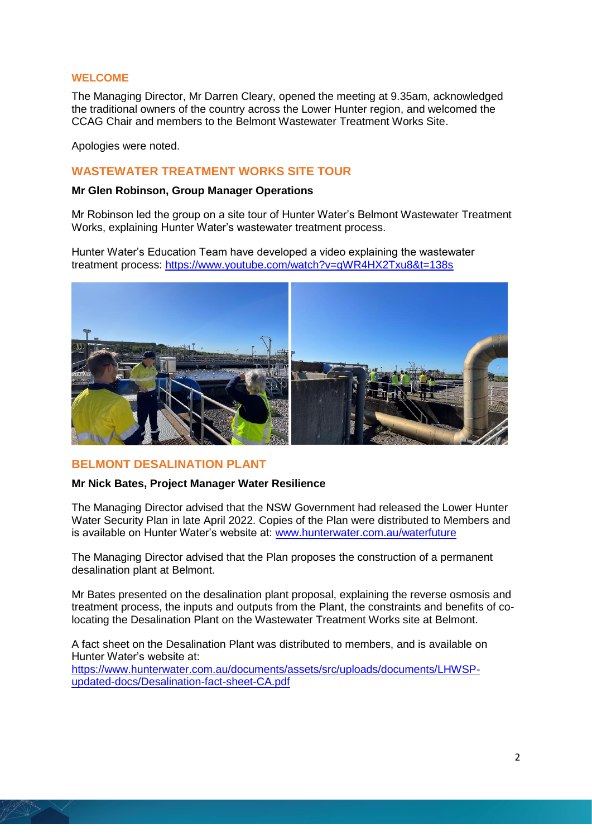#### **WELCOME**

The Managing Director, Mr Darren Cleary, opened the meeting at 9.35am, acknowledged the traditional owners of the country across the Lower Hunter region, and welcomed the CCAG Chair and members to the Belmont Wastewater Treatment Works Site.

Apologies were noted.

## **WASTEWATER TREATMENT WORKS SITE TOUR**

#### **Mr Glen Robinson, Group Manager Operations**

Mr Robinson led the group on a site tour of Hunter Water's Belmont Wastewater Treatment Works, explaining Hunter Water's wastewater treatment process.

Hunter Water's Education Team have developed a video explaining the wastewater treatment process:<https://www.youtube.com/watch?v=gWR4HX2Txu8&t=138s>



## **BELMONT DESALINATION PLANT**

#### **Mr Nick Bates, Project Manager Water Resilience**

The Managing Director advised that the NSW Government had released the Lower Hunter Water Security Plan in late April 2022. Copies of the Plan were distributed to Members and is available on Hunter Water's website at: [www.hunterwater.com.au/waterfuture](http://www.hunterwater.com.au/waterfuture)

The Managing Director advised that the Plan proposes the construction of a permanent desalination plant at Belmont.

Mr Bates presented on the desalination plant proposal, explaining the reverse osmosis and treatment process, the inputs and outputs from the Plant, the constraints and benefits of colocating the Desalination Plant on the Wastewater Treatment Works site at Belmont.

A fact sheet on the Desalination Plant was distributed to members, and is available on Hunter Water's website at: [https://www.hunterwater.com.au/documents/assets/src/uploads/documents/LHWSP-](https://www.hunterwater.com.au/documents/assets/src/uploads/documents/LHWSP-updated-docs/Desalination-fact-sheet-CA.pdf)

[updated-docs/Desalination-fact-sheet-CA.pdf](https://www.hunterwater.com.au/documents/assets/src/uploads/documents/LHWSP-updated-docs/Desalination-fact-sheet-CA.pdf)